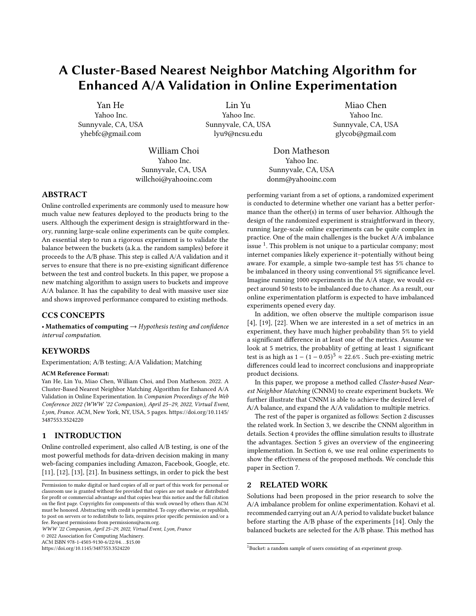# A Cluster-Based Nearest Neighbor Matching Algorithm for Enhanced A/A Validation in Online Experimentation

[Yan He](https://orcid.org/0000-0003-0807-6520) Yahoo Inc. Sunnyvale, CA, USA yhebfc@gmail.com

Lin Yu Yahoo Inc. Sunnyvale, CA, USA lyu9@ncsu.edu

Miao Chen Yahoo Inc. Sunnyvale, CA, USA glycob@gmail.com

William Choi Yahoo Inc. Sunnyvale, CA, USA willchoi@yahooinc.com

Don Matheson Yahoo Inc. Sunnyvale, CA, USA donm@yahooinc.com

# ABSTRACT

Online controlled experiments are commonly used to measure how much value new features deployed to the products bring to the users. Although the experiment design is straightforward in theory, running large-scale online experiments can be quite complex. An essential step to run a rigorous experiment is to validate the balance between the buckets (a.k.a. the random samples) before it proceeds to the A/B phase. This step is called A/A validation and it serves to ensure that there is no pre-existing significant difference between the test and control buckets. In this paper, we propose a new matching algorithm to assign users to buckets and improve A/A balance. It has the capability to deal with massive user size and shows improved performance compared to existing methods.

### CCS CONCEPTS

• Mathematics of computing  $\rightarrow$  Hypothesis testing and confidence interval computation.

# **KEYWORDS**

Experimentation; A/B testing; A/A Validation; Matching

#### ACM Reference Format:

Yan He, Lin Yu, Miao Chen, William Choi, and Don Matheson. 2022. A Cluster-Based Nearest Neighbor Matching Algorithm for Enhanced A/A Validation in Online Experimentation. In Companion Proceedings of the Web Conference 2022 (WWW '22 Companion), April 25–29, 2022, Virtual Event, Lyon, France. ACM, New York, NY, USA, [5](#page-4-0) pages. [https://doi.org/10.1145/](https://doi.org/10.1145/3487553.3524220) [3487553.3524220](https://doi.org/10.1145/3487553.3524220)

# <span id="page-0-2"></span>1 INTRODUCTION

Online controlled experiment, also called A/B testing, is one of the most powerful methods for data-driven decision making in many web-facing companies including Amazon, Facebook, Google, etc. [\[11\]](#page-4-1), [\[12\]](#page-4-2), [\[13\]](#page-4-3), [\[21\]](#page-4-4). In business settings, in order to pick the best

WWW '22 Companion, April 25–29, 2022, Virtual Event, Lyon, France

© 2022 Association for Computing Machinery.

ACM ISBN 978-1-4503-9130-6/22/04. . . \$15.00 <https://doi.org/10.1145/3487553.3524220>

performing variant from a set of options, a randomized experiment is conducted to determine whether one variant has a better performance than the other(s) in terms of user behavior. Although the design of the randomized experiment is straightforward in theory, running large-scale online experiments can be quite complex in practice. One of the main challenges is the bucket A/A imbalance issue  $^1$  $^1$ . This problem is not unique to a particular company; most internet companies likely experience it–potentially without being aware. For example, a simple two-sample test has 5% chance to be imbalanced in theory using conventional 5% significance level. Imagine running 1000 experiments in the A/A stage, we would expect around 50 tests to be imbalanced due to chance. As a result, our online experimentation platform is expected to have imbalanced experiments opened every day.

In addition, we often observe the multiple comparison issue [\[4\]](#page-4-5), [\[19\]](#page-4-6), [\[22\]](#page-4-7). When we are interested in a set of metrics in an experiment, they have much higher probability than 5% to yield a significant difference in at least one of the metrics. Assume we look at 5 metrics, the probablity of getting at least 1 significant test is as high as  $1 - (1 - 0.05)^5 \approx 22.6\%$  . Such pre-existing metric differences could lead to incorrect conclusions and inappropriate product decisions.

In this paper, we propose a method called Cluster-based Nearest Neighbor Matching (CNNM) to create experiment buckets. We further illustrate that CNNM is able to achieve the desired level of A/A balance, and expand the A/A validation to multiple metrics.

The rest of the paper is organized as follows: Section [2](#page-0-1) discusses the related work. In Section [3,](#page-1-0) we describe the CNNM algorithm in details. Section [4](#page-1-1) provides the offline simulation results to illustrate the advantages. Section [5](#page-2-0) gives an overview of the engineering implementation. In Section [6,](#page-3-0) we use real online experiments to show the effectiveness of the proposed methods. We conclude this paper in Section [7.](#page-3-1)

### <span id="page-0-1"></span>2 RELATED WORK

Solutions had been proposed in the prior research to solve the A/A imbalance problem for online experimentation. Kohavi et al. recommended carrying out an A/A period to validate bucket balance before starting the A/B phase of the experiments [\[14\]](#page-4-8). Only the balanced buckets are selected for the A/B phase. This method has

Permission to make digital or hard copies of all or part of this work for personal or classroom use is granted without fee provided that copies are not made or distributed for profit or commercial advantage and that copies bear this notice and the full citation on the first page. Copyrights for components of this work owned by others than ACM must be honored. Abstracting with credit is permitted. To copy otherwise, or republish, to post on servers or to redistribute to lists, requires prior specific permission and/or a fee. Request permissions from permissions@acm.org.

<span id="page-0-0"></span><sup>&</sup>lt;sup>1</sup>Bucket: a random sample of users consisting of an experiment group.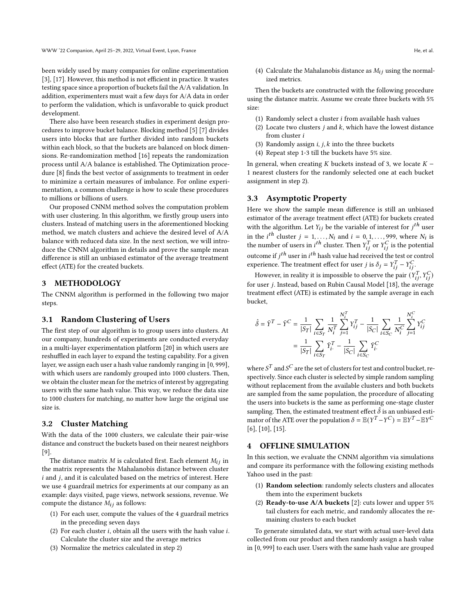been widely used by many companies for online experimentation [\[3\]](#page-4-9), [\[17\]](#page-4-10). However, this method is not efficient in practice. It wastes testing space since a proportion of buckets fail the A/A validation. In addition, experimenters must wait a few days for A/A data in order to perform the validation, which is unfavorable to quick product development.

There also have been research studies in experiment design procedures to improve bucket balance. Blocking method [\[5\]](#page-4-11) [\[7\]](#page-4-12) divides users into blocks that are further divided into random buckets within each block, so that the buckets are balanced on block dimensions. Re-randomization method [\[16\]](#page-4-13) repeats the randomization process until A/A balance is established. The Optimization procedure [\[8\]](#page-4-14) finds the best vector of assignments to treatment in order to minimize a certain measures of imbalance. For online experimentation, a common challenge is how to scale these procedures to millions or billions of users.

Our proposed CNNM method solves the computation problem with user clustering. In this algorithm, we firstly group users into clusters. Instead of matching users in the aforementioned blocking method, we match clusters and achieve the desired level of A/A balance with reduced data size. In the next section, we will introduce the CNNM algorithm in details and prove the sample mean difference is still an unbiased estimator of the average treatment effect (ATE) for the created buckets.

### <span id="page-1-0"></span>**METHODOLOGY**

The CNNM algorithm is performed in the following two major steps.

### 3.1 Random Clustering of Users

The first step of our algorithm is to group users into clusters. At our company, hundreds of experiments are conducted everyday in a multi-layer experimentation platform [\[20\]](#page-4-15) in which users are reshuffled in each layer to expand the testing capability. For a given layer, we assign each user a hash value randomly ranging in [0, 999], with which users are randomly grouped into 1000 clusters. Then, we obtain the cluster mean for the metrics of interest by aggregating users with the same hash value. This way, we reduce the data size to 1000 clusters for matching, no matter how large the original use size is.

### 3.2 Cluster Matching

With the data of the 1000 clusters, we calculate their pair-wise distance and construct the buckets based on their nearest neighbors [\[9\]](#page-4-16).

The distance matrix  $M$  is calculated first. Each element  $M_{ij}$  in the matrix represents the Mahalanobis distance between cluster  $i$  and  $j$ , and it is calculated based on the metrics of interest. Here we use 4 guardrail metrics for experiments at our company as an example: days visited, page views, network sessions, revenue. We compute the distance  $M_{ij}$  as follows:

- (1) For each user, compute the values of the 4 guardrail metrics in the preceding seven days
- (2) For each cluster  $i$ , obtain all the users with the hash value  $i$ . Calculate the cluster size and the average metrics
- (3) Normalize the metrics calculated in step 2)

<span id="page-1-2"></span>(4) Calculate the Mahalanobis distance as  $M_{ij}$  using the normalized metrics.

Then the buckets are constructed with the following procedure using the distance matrix. Assume we create three buckets with 5% size:

- (1) Randomly select a cluster  $i$  from available hash values
- (2) Locate two clusters  $j$  and  $k$ , which have the lowest distance from cluster i
- (3) Randomly assign  $i, j, k$  into the three buckets
- (4) Repeat step 1-3 till the buckets have 5% size.

In general, when creating  $K$  buckets instead of 3, we locate  $K -$ 1 nearest clusters for the randomly selected one at each bucket assignment in step 2).

#### 3.3 Asymptotic Property

Here we show the sample mean difference is still an unbiased estimator of the average treatment effect (ATE) for buckets created with the algorithm. Let  $Y_{ij}$  be the variable of interest for  $j^{th}$  user in the *i*<sup>th</sup> cluster  $j = 1, ..., N_i$  and  $i = 0, 1, ..., 999$ , where  $N_i$  is the number of users in *i*<sup>th</sup> cluster. Then  $Y_{ij}^T$  or  $Y_{ij}^C$  is the potential outcome if  $j^{th}$  user in  $i^{th}$  hash value had received the test or control experience. The treatment effect for user *j* is  $\delta_j = Y_{ij}^T - Y_{ij}^C$ .

However, in reality it is impossible to observe the pair  $(Y_{ij}^T, Y_{ij}^C)$ for user j. Instead, based on Rubin Causal Model [\[18\]](#page-4-17), the average treatment effect (ATE) is estimated by the sample average in each bucket,

$$
\begin{aligned} \hat{\delta} = \bar{Y}^T - \bar{Y}^C & = \frac{1}{|S_T|}\sum_{i \in S_T} \frac{1}{N_i^T}\sum_{j=1}^{N_i^T} Y_{ij}^T - \frac{1}{|S_C|}\sum_{i \in S_C} \frac{1}{N_i^C}\sum_{j=1}^{N_i^C} Y_{ij}^C \\ & = \frac{1}{|S_T|}\sum_{i \in S_T} \bar{Y}_{i\cdot}^T - \frac{1}{|S_C|}\sum_{i \in S_C} \bar{Y}_{i\cdot}^C \end{aligned}
$$

where  $S^T$  and  $S^C$  are the set of clusters for test and control bucket, respectively. Since each cluster is selected by simple random sampling without replacement from the available clusters and both buckets are sampled from the same population, the procedure of allocating the users into buckets is the same as performing one-stage cluster sampling. Then, the estimated treatment effect  $\hat{\delta}$  is an unbiased estimator of the ATE over the population  $\delta = \mathbb{E}(Y^T - Y^C) = \mathbb{E}Y^T - \mathbb{E}Y^C$ [\[6\]](#page-4-18), [\[10\]](#page-4-19), [\[15\]](#page-4-20).

# <span id="page-1-1"></span>4 OFFLINE SIMULATION

In this section, we evaluate the CNNM algorithm via simulations and compare its performance with the following existing methods Yahoo used in the past:

- (1) Random selection: randomly selects clusters and allocates them into the experiment buckets
- (2) **Ready-to-use A/A buckets** [\[2\]](#page-4-21): cuts lower and upper  $5\%$ tail clusters for each metric, and randomly allocates the remaining clusters to each bucket

To generate simulated data, we start with actual user-level data collected from our product and then randomly assign a hash value in [0, 999] to each user. Users with the same hash value are grouped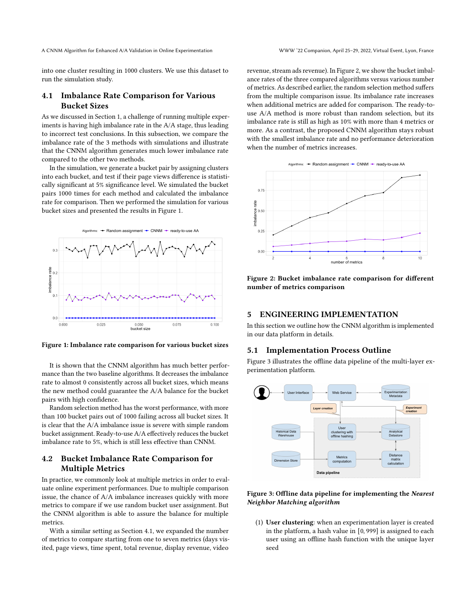A CNNM Algorithm for Enhanced A/A Validation in Online Experimentation WWW '22 Companion, April 25–29, 2022, Virtual Event, Lyon, France

into one cluster resulting in 1000 clusters. We use this dataset to run the simulation study.

# <span id="page-2-2"></span>4.1 Imbalance Rate Comparison for Various Bucket Sizes

As we discussed in Section [1,](#page-0-2) a challenge of running multiple experiments is having high imbalance rate in the A/A stage, thus leading to incorrect test conclusions. In this subsection, we compare the imbalance rate of the 3 methods with simulations and illustrate that the CNNM algorithm generates much lower imbalance rate compared to the other two methods.

In the simulation, we generate a bucket pair by assigning clusters into each bucket, and test if their page views difference is statistically significant at 5% significance level. We simulated the bucket pairs 1000 times for each method and calculated the imbalance rate for comparison. Then we performed the simulation for various bucket sizes and presented the results in Figure [1.](#page-2-1)

<span id="page-2-1"></span>

Figure 1: Imbalance rate comparison for various bucket sizes

It is shown that the CNNM algorithm has much better performance than the two baseline algorithms. It decreases the imbalance rate to almost 0 consistently across all bucket sizes, which means the new method could guarantee the A/A balance for the bucket pairs with high confidence.

Random selection method has the worst performance, with more than 100 bucket pairs out of 1000 failing across all bucket sizes. It is clear that the A/A imbalance issue is severe with simple random bucket assignment. Ready-to-use A/A effectively reduces the bucket imbalance rate to 5%, which is still less effective than CNNM.

# 4.2 Bucket Imbalance Rate Comparison for Multiple Metrics

In practice, we commonly look at multiple metrics in order to evaluate online experiment performances. Due to multiple comparison issue, the chance of A/A imbalance increases quickly with more metrics to compare if we use random bucket user assignment. But the CNNM algorithm is able to assure the balance for multiple metrics.

With a similar setting as Section [4.1,](#page-2-2) we expanded the number of metrics to compare starting from one to seven metrics (days visited, page views, time spent, total revenue, display revenue, video

revenue, stream ads revenue). In Figure [2,](#page-2-3) we show the bucket imbalance rates of the three compared algorithms versus various number of metrics. As described earlier, the random selection method suffers from the multiple comparison issue. Its imbalance rate increases when additional metrics are added for comparison. The ready-touse A/A method is more robust than random selection, but its imbalance rate is still as high as 10% with more than 4 metrics or more. As a contrast, the proposed CNNM algorithm stays robust with the smallest imbalance rate and no performance deterioration when the number of metrics increases.

<span id="page-2-3"></span>

Figure 2: Bucket imbalance rate comparison for different number of metrics comparison

## <span id="page-2-0"></span>5 ENGINEERING IMPLEMENTATION

In this section we outline how the CNNM algorithm is implemented in our data platform in details.

# 5.1 Implementation Process Outline

Figure [3](#page-2-4) illustrates the offline data pipeline of the multi-layer experimentation platform.

<span id="page-2-4"></span>

# Figure 3: Offline data pipeline for implementing the Nearest Neighbor Matching algorithm

(1) User clustering: when an experimentation layer is created in the platform, a hash value in [0, 999] is assigned to each user using an offline hash function with the unique layer seed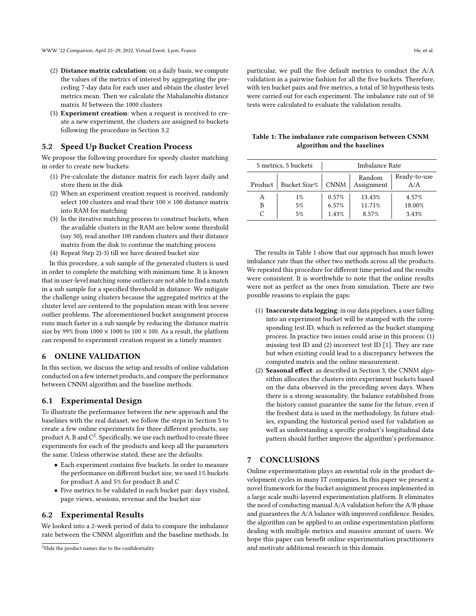- (2) Distance matrix calculation: on a daily basis, we compute the values of the metrics of interest by aggregating the preceding 7-day data for each user and obtain the cluster level metrics mean. Then we calculate the Mahalanobis distance matrix  $M$  between the 1000 clusters
- (3) Experiment creation: when a request is received to create a new experiment, the clusters are assigned to buckets following the procedure in Section [3.2](#page-1-2)

### 5.2 Speed Up Bucket Creation Process

We propose the following procedure for speedy cluster matching in order to create new buckets:

- (1) Pre-calculate the distance matrix for each layer daily and store them in the disk
- (2) When an experiment creation request is received, randomly select 100 clusters and read their  $100 \times 100$  distance matrix into RAM for matching
- (3) In the iterative matching process to construct buckets, when the available clusters in the RAM are below some threshold (say 50), read another 100 random clusters and their distance matrix from the disk to continue the matching process
- (4) Repeat Step 2)-3) till we have desired bucket size

In this procedure, a sub sample of the generated clusters is used in order to complete the matching with minimum time. It is known that in user-level matching some outliers are not able to find a match in a sub sample for a specified threshold in distance. We mitigate the challenge using clusters because the aggregated metrics at the cluster level are centered to the population mean with less severe outlier problems. The aforementioned bucket assignment process runs much faster in a sub sample by reducing the distance matrix size by 99% from  $1000 \times 1000$  to  $100 \times 100$ . As a result, the platform can respond to experiment creation request in a timely manner.

### <span id="page-3-0"></span>6 ONLINE VALIDATION

In this section, we discuss the setup and results of online validation conducted on a few internet products, and compare the performance between CNNM algorithm and the baseline methods.

# 6.1 Experimental Design

To illustrate the performance between the new approach and the baselines with the real dataset, we follow the steps in Section [5](#page-2-0) to create a few online experiments for three different products, say product A, B and  $\mathsf{C}^2$  $\mathsf{C}^2$ . Specifically, we use each method to create three experiments for each of the products and keep all the parameters the same. Unless otherwise stated, these are the defaults:

- Each experiment contains five buckets. In order to measure the performance on different bucket size, we used 1% buckets for product A and 5% for product B and C
- Five metrics to be validated in each bucket pair: days visited, page views, sessions, revenue and the bucket size

## 6.2 Experimental Results

We looked into a 2-week period of data to compare the imbalance rate between the CNNM algorithm and the baseline methods. In particular, we pull the five default metrics to conduct the A/A validation in a pairwise fashion for all the five buckets. Therefore, with ten bucket pairs and five metrics, a total of 50 hypothesis tests were carried out for each experiment. The imbalance rate out of 50 tests were calculated to evaluate the validation results.

<span id="page-3-3"></span>

| Table 1: The imbalance rate comparison between CNNM |  |
|-----------------------------------------------------|--|
| algorithm and the baselines                         |  |

| 5 metrics, 5 buckets |                     | Imbalance Rate |                      |                     |
|----------------------|---------------------|----------------|----------------------|---------------------|
| Product              | <b>Bucket Size%</b> | <b>CNNM</b>    | Random<br>Assignment | Ready-to-use<br>A/A |
| А                    | $1\%$               | 0.57%          | 13.43%               | 4.57%               |
| B                    | 5%                  | 6.57%          | 11.71%               | 18.00%              |
| C                    | 5%                  | 1.43%          | 8.57%                | 3.43%               |

The results in Table [1](#page-3-3) show that our approach has much lower imbalance rate than the other two methods across all the products. We repeated this procedure for different time period and the results were consistent. It is worthwhile to note that the online results were not as perfect as the ones from simulation. There are two possible reasons to explain the gaps:

- (1) Inaccurate data logging: in our data pipelines, a user falling into an experiment bucket will be stamped with the corresponding test ID, which is referred as the bucket stamping process. In practice two issues could arise in this process: (1) missing test ID and (2) incorrect test ID [\[1\]](#page-4-22). They are rare but when existing could lead to a discrepancy between the computed matrix and the online measurement.
- (2) Seasonal effect: as described in Section [3,](#page-1-0) the CNNM algorithm allocates the clusters into experiment buckets based on the data observed in the preceding seven days. When there is a strong seasonality, the balance established from the history cannot guarantee the same for the future, even if the freshest data is used in the methodology. In future studies, expanding the historical period used for validation as well as understanding a specific product's longitudinal data pattern should further improve the algorithm's performance.

# <span id="page-3-1"></span>7 CONCLUSIONS

Online experimentation plays an essential role in the product development cycles in many IT companies. In this paper we present a novel framework for the bucket assignment process implemented in a large scale multi-layered experimentation platform. It eliminates the need of conducting manual A/A validation before the A/B phase and guarantees the A/A balance with improved confidence. Besides, the algorithm can be applied to an online experimentation platform dealing with multiple metrics and massive amount of users. We hope this paper can benefit online experimentation practitioners and motivate additional research in this domain.

<span id="page-3-2"></span><sup>&</sup>lt;sup>2</sup>Hide the product names due to the confidentiality